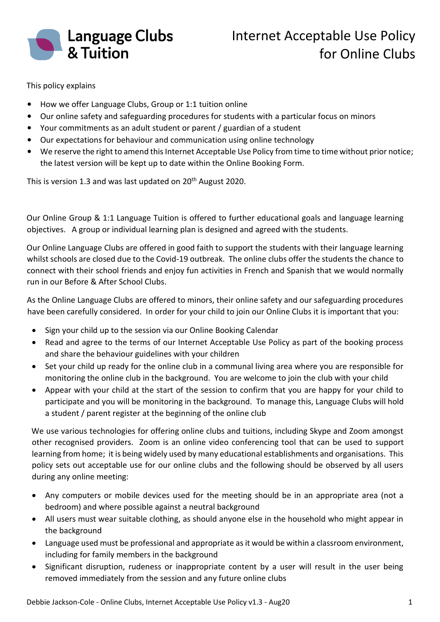

This policy explains

- How we offer Language Clubs, Group or 1:1 tuition online
- Our online safety and safeguarding procedures for students with a particular focus on minors
- Your commitments as an adult student or parent / guardian of a student
- Our expectations for behaviour and communication using online technology
- We reserve the right to amend this Internet Acceptable Use Policy from time to time without prior notice; the latest version will be kept up to date within the Online Booking Form.

This is version 1.3 and was last updated on 20<sup>th</sup> August 2020.

Our Online Group & 1:1 Language Tuition is offered to further educational goals and language learning objectives. A group or individual learning plan is designed and agreed with the students.

Our Online Language Clubs are offered in good faith to support the students with their language learning whilst schools are closed due to the Covid-19 outbreak. The online clubs offer the students the chance to connect with their school friends and enjoy fun activities in French and Spanish that we would normally run in our Before & After School Clubs.

As the Online Language Clubs are offered to minors, their online safety and our safeguarding procedures have been carefully considered. In order for your child to join our Online Clubs it is important that you:

- Sign your child up to the session via our Online Booking Calendar
- Read and agree to the terms of our Internet Acceptable Use Policy as part of the booking process and share the behaviour guidelines with your children
- Set your child up ready for the online club in a communal living area where you are responsible for monitoring the online club in the background. You are welcome to join the club with your child
- Appear with your child at the start of the session to confirm that you are happy for your child to participate and you will be monitoring in the background. To manage this, Language Clubs will hold a student / parent register at the beginning of the online club

We use various technologies for offering online clubs and tuitions, including Skype and Zoom amongst other recognised providers. Zoom is an online video conferencing tool that can be used to support learning from home; it is being widely used by many educational establishments and organisations. This policy sets out acceptable use for our online clubs and the following should be observed by all users during any online meeting:

- Any computers or mobile devices used for the meeting should be in an appropriate area (not a bedroom) and where possible against a neutral background
- All users must wear suitable clothing, as should anyone else in the household who might appear in the background
- Language used must be professional and appropriate as it would be within a classroom environment, including for family members in the background
- Significant disruption, rudeness or inappropriate content by a user will result in the user being removed immediately from the session and any future online clubs